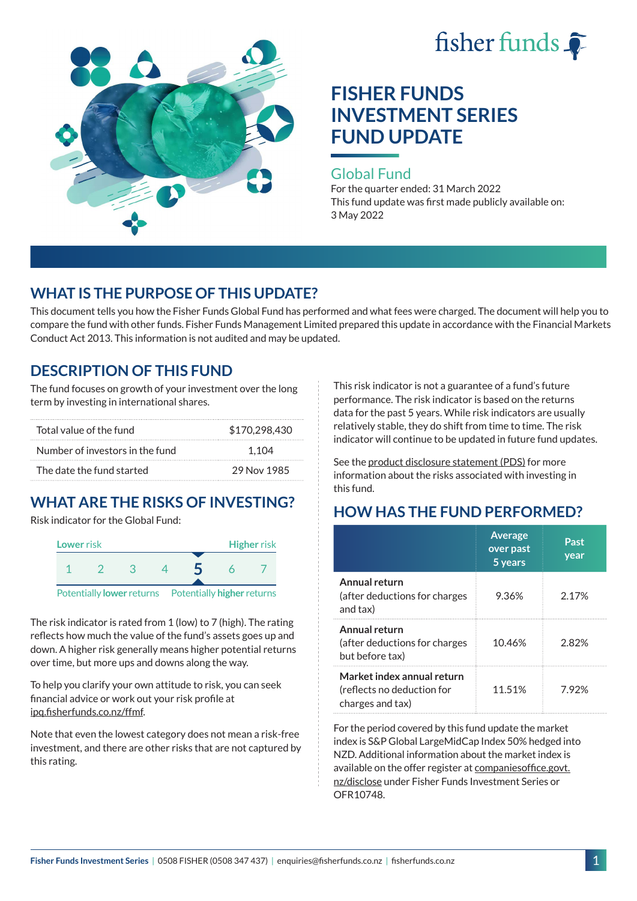



#### Global Fund

For the quarter ended: 31 March 2022 This fund update was first made publicly available on: 3 May 2022

# **WHAT IS THE PURPOSE OF THIS UPDATE?**

This document tells you how the Fisher Funds Global Fund has performed and what fees were charged. The document will help you to compare the fund with other funds. Fisher Funds Management Limited prepared this update in accordance with the Financial Markets Conduct Act 2013. This information is not audited and may be updated.

### **DESCRIPTION OF THIS FUND**

The fund focuses on growth of your investment over the long term by investing in international shares.

| Total value of the fund         | \$170.298.430 |
|---------------------------------|---------------|
| Number of investors in the fund | 1.104         |
| The date the fund started       | 29 Nov 1985   |

# **WHAT ARE THE RISKS OF INVESTING?**

Risk indicator for the Global Fund:



The risk indicator is rated from 1 (low) to 7 (high). The rating reflects how much the value of the fund's assets goes up and down. A higher risk generally means higher potential returns over time, but more ups and downs along the way.

To help you clarify your own attitude to risk, you can seek financial advice or work out your risk profile at [ipq.fisherfunds.co.nz/ffmf](https://ipq.fisherfunds.co.nz/ffmf).

Note that even the lowest category does not mean a risk-free investment, and there are other risks that are not captured by this rating.

This risk indicator is not a guarantee of a fund's future performance. The risk indicator is based on the returns data for the past 5 years. While risk indicators are usually relatively stable, they do shift from time to time. The risk indicator will continue to be updated in future fund updates.

See the [product disclosure statement \(PDS\)](https://fisherfunds.co.nz/assets/PDS/Fisher-Funds-Investment-Series-PDS.pdf) for more information about the risks associated with investing in this fund.

# **HOW HAS THE FUND PERFORMED?**

|                                                                              | <b>Average</b><br>over past<br>5 years | Past<br>year |
|------------------------------------------------------------------------------|----------------------------------------|--------------|
| Annual return<br>(after deductions for charges<br>and tax)                   | 9.36%                                  | 2.17%        |
| Annual return<br>(after deductions for charges<br>but before tax)            | 10.46%                                 | 2.82%        |
| Market index annual return<br>(reflects no deduction for<br>charges and tax) | 11.51%                                 | 7 92%        |

For the period covered by this fund update the market index is S&P Global LargeMidCap Index 50% hedged into NZD. Additional information about the market index is available on the offer register at [companiesoffice.govt.](http://companiesoffice.govt.nz/disclose) [nz/disclose](http://companiesoffice.govt.nz/disclose) under Fisher Funds Investment Series or OFR10748.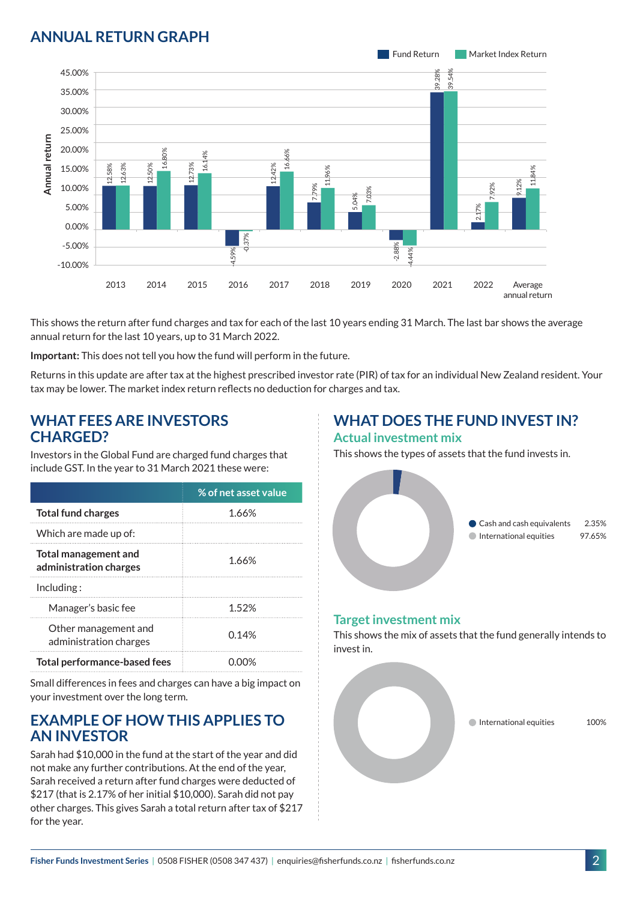# **ANNUAL RETURN GRAPH**



This shows the return after fund charges and tax for each of the last 10 years ending 31 March. The last bar shows the average annual return for the last 10 years, up to 31 March 2022.

**Important:** This does not tell you how the fund will perform in the future.

Returns in this update are after tax at the highest prescribed investor rate (PIR) of tax for an individual New Zealand resident. Your tax may be lower. The market index return reflects no deduction for charges and tax.

#### **WHAT FEES ARE INVESTORS CHARGED?**

Investors in the Global Fund are charged fund charges that include GST. In the year to 31 March 2021 these were:

|                                                       | % of net asset value |
|-------------------------------------------------------|----------------------|
| <b>Total fund charges</b>                             | 1.66%                |
| Which are made up of:                                 |                      |
| <b>Total management and</b><br>administration charges | 1.66%                |
| Inding:                                               |                      |
| Manager's basic fee                                   | 152%                 |
| Other management and<br>administration charges        | 0.14%                |
| <b>Total performance-based fees</b>                   |                      |

Small differences in fees and charges can have a big impact on your investment over the long term.

### **EXAMPLE OF HOW THIS APPLIES TO AN INVESTOR**

Sarah had \$10,000 in the fund at the start of the year and did not make any further contributions. At the end of the year, Sarah received a return after fund charges were deducted of \$217 (that is 2.17% of her initial \$10,000). Sarah did not pay other charges. This gives Sarah a total return after tax of \$217 for the year.

#### **WHAT DOES THE FUND INVEST IN? Actual investment mix**

This shows the types of assets that the fund invests in.



#### **Target investment mix**

This shows the mix of assets that the fund generally intends to invest in.